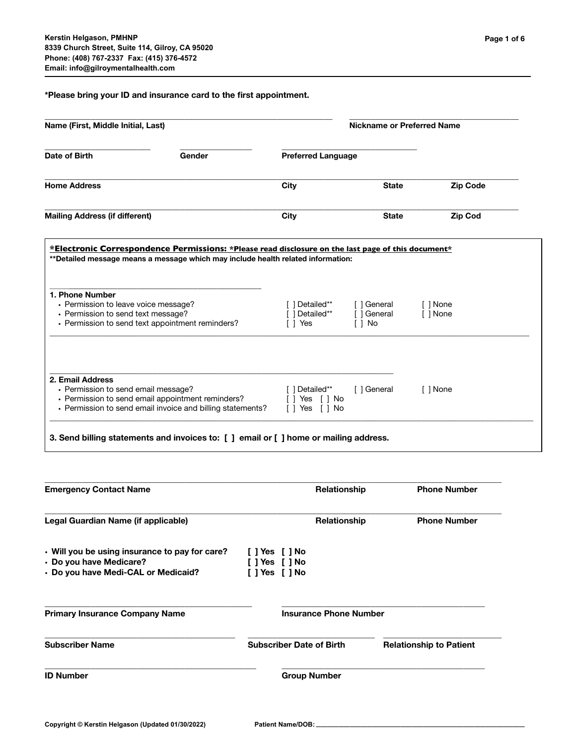**\*Please bring your ID and insurance card to the first appointment.**

| Name (First, Middle Initial, Last)                         |                                                                                                                                                                                                                                      | Nickname or Preferred Name           |                                                                                                                                                                                                                     |  |
|------------------------------------------------------------|--------------------------------------------------------------------------------------------------------------------------------------------------------------------------------------------------------------------------------------|--------------------------------------|---------------------------------------------------------------------------------------------------------------------------------------------------------------------------------------------------------------------|--|
|                                                            |                                                                                                                                                                                                                                      |                                      |                                                                                                                                                                                                                     |  |
|                                                            | City                                                                                                                                                                                                                                 | <b>State</b>                         | <b>Zip Code</b>                                                                                                                                                                                                     |  |
|                                                            | City                                                                                                                                                                                                                                 | <b>State</b>                         | <b>Zip Cod</b>                                                                                                                                                                                                      |  |
|                                                            | [ ] Detailed**<br>[ ] Detailed**<br>[ ] Yes                                                                                                                                                                                          | [ ] General<br>[ ] General<br>[ ] No | [ ] None<br>[ ] None                                                                                                                                                                                                |  |
| • Permission to send email invoice and billing statements? | [ ] Detailed**<br>[ ] Yes [ ] No<br>[ ] Yes [ ] No                                                                                                                                                                                   | [ ] General                          | [ ] None                                                                                                                                                                                                            |  |
|                                                            | Gender<br>• Permission to leave voice message?<br>• Permission to send text message?<br>• Permission to send text appointment reminders?<br>• Permission to send email message?<br>• Permission to send email appointment reminders? |                                      | <b>Preferred Language</b><br>*Electronic Correspondence Permissions: *Please read disclosure on the last page of this document*<br>**Detailed message means a message which may include health related information: |  |

| <b>Emergency Contact Name</b>                  | <b>Relationship</b>             | <b>Phone Number</b>            |
|------------------------------------------------|---------------------------------|--------------------------------|
| Legal Guardian Name (if applicable)            | <b>Relationship</b>             | <b>Phone Number</b>            |
| • Will you be using insurance to pay for care? | [ ] Yes [ ] No                  |                                |
| • Do you have Medicare?                        | $[$ ] Yes $[$ ] No              |                                |
| · Do you have Medi-CAL or Medicaid?            | [ ] Yes [ ] No                  |                                |
| <b>Primary Insurance Company Name</b>          | <b>Insurance Phone Number</b>   |                                |
|                                                |                                 |                                |
| <b>Subscriber Name</b>                         | <b>Subscriber Date of Birth</b> | <b>Relationship to Patient</b> |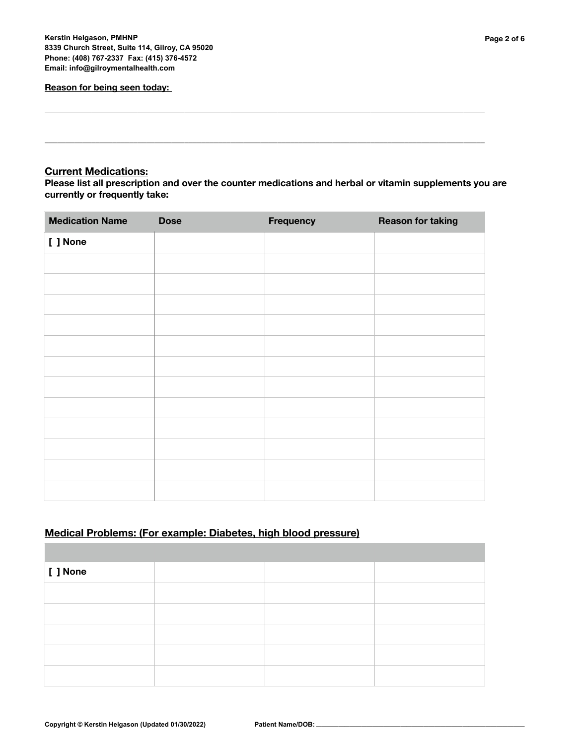#### **Reason for being seen today:**

## **Current Medications:**

**Please list all prescription and over the counter medications and herbal or vitamin supplements you are currently or frequently take:** 

**\_\_\_\_\_\_\_\_\_\_\_\_\_\_\_\_\_\_\_\_\_\_\_\_\_\_\_\_\_\_\_\_\_\_\_\_\_\_\_\_\_\_\_\_\_\_\_\_\_\_\_\_\_\_\_\_\_\_\_\_\_\_\_\_\_\_\_\_\_\_\_\_\_\_\_\_\_\_\_\_\_\_\_\_\_\_\_\_\_\_\_\_\_\_\_\_\_\_\_\_\_\_\_\_** 

**\_\_\_\_\_\_\_\_\_\_\_\_\_\_\_\_\_\_\_\_\_\_\_\_\_\_\_\_\_\_\_\_\_\_\_\_\_\_\_\_\_\_\_\_\_\_\_\_\_\_\_\_\_\_\_\_\_\_\_\_\_\_\_\_\_\_\_\_\_\_\_\_\_\_\_\_\_\_\_\_\_\_\_\_\_\_\_\_\_\_\_\_\_\_\_\_\_\_\_\_\_\_\_\_** 

| <b>Medication Name</b> | <b>Dose</b> | Frequency | <b>Reason for taking</b> |
|------------------------|-------------|-----------|--------------------------|
| [ ] None               |             |           |                          |
|                        |             |           |                          |
|                        |             |           |                          |
|                        |             |           |                          |
|                        |             |           |                          |
|                        |             |           |                          |
|                        |             |           |                          |
|                        |             |           |                          |
|                        |             |           |                          |
|                        |             |           |                          |
|                        |             |           |                          |
|                        |             |           |                          |
|                        |             |           |                          |

# **Medical Problems: (For example: Diabetes, high blood pressure)**

| $\vert$ [ ] None |  |  |
|------------------|--|--|
|                  |  |  |
|                  |  |  |
|                  |  |  |
|                  |  |  |
|                  |  |  |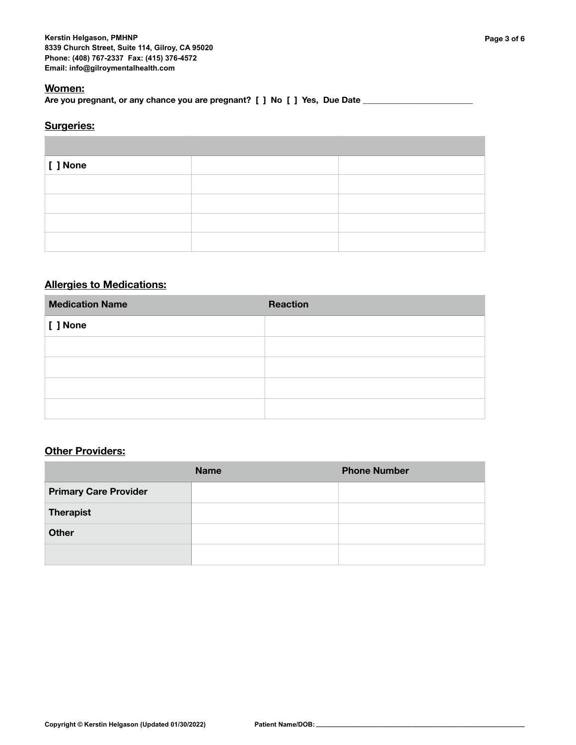## **Women:**

Are you pregnant, or any chance you are pregnant? [ ] No [ ] Yes, Due Date \_\_\_\_

## **Surgeries:**

| $ $ [ $ $ None |  |
|----------------|--|
|                |  |
|                |  |
|                |  |
|                |  |

# **Allergies to Medications:**

| <b>Medication Name</b> | <b>Reaction</b> |
|------------------------|-----------------|
| [ ] None               |                 |
|                        |                 |
|                        |                 |
|                        |                 |
|                        |                 |

## **Other Providers:**

|                              | <b>Name</b> | <b>Phone Number</b> |
|------------------------------|-------------|---------------------|
| <b>Primary Care Provider</b> |             |                     |
| <b>Therapist</b>             |             |                     |
| <b>Other</b>                 |             |                     |
|                              |             |                     |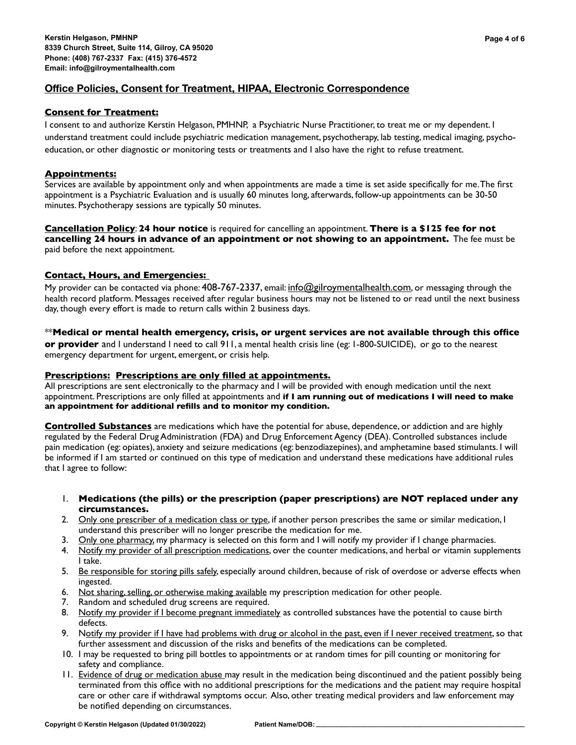## **Office Policies, Consent for Treatment, HIPAA, Electronic Correspondence**

## **Consent for Treatment:**

I consent to and authorize Kerstin Helgason, PMHNP, a Psychiatric Nurse Practitioner, to treat me or my dependent. I understand treatment could include psychiatric medication management, psychotherapy, lab testing, medical imaging, psychoeducation, or other diagnostic or monitoring tests or treatments and I also have the right to refuse treatment.

## **Appointments:**

Services are available by appointment only and when appointments are made a time is set aside specifically for me. The first appointment is a Psychiatric Evaluation and is usually 60 minutes long, afterwards, follow-up appointments can be 30-50 minutes. Psychotherapy sessions are typically 50 minutes.

**Cancellation Policy**: **24 hour notice** is required for cancelling an appointment. **There is a \$125 fee for not cancelling 24 hours in advance of an appointment or not showing to an appointment.** The fee must be paid before the next appointment.

## **Contact, Hours, and Emergencies:**

My provider can be contacted via phone: 408-767-2337, email: [info@gilroymentalhealth.com](mailto:info@gilroymentalhealth.com), or messaging through the health record platform. Messages received after regular business hours may not be listened to or read until the next business day, though every effort is made to return calls within 2 business days.

## \*\***Medical or mental health emergency, crisis, or urgent services are not available through this office**

**or provider** and I understand I need to call 911, a mental health crisis line (eg: 1-800-SUICIDE), or go to the nearest emergency department for urgent, emergent, or crisis help.

## **Prescriptions: Prescriptions are only filled at appointments.**

All prescriptions are sent electronically to the pharmacy and I will be provided with enough medication until the next appointment. Prescriptions are only filled at appointments and **if I am running out of medications I will need to make an appointment for additional refills and to monitor my condition.** 

**Controlled Substances** are medications which have the potential for abuse, dependence, or addiction and are highly regulated by the Federal Drug Administration (FDA) and Drug Enforcement Agency (DEA). Controlled substances include pain medication (eg: opiates), anxiety and seizure medications (eg: benzodiazepines), and amphetamine based stimulants. I will be informed if I am started or continued on this type of medication and understand these medications have additional rules that I agree to follow:

- 1. **Medications (the pills) or the prescription (paper prescriptions) are NOT replaced under any circumstances.**
- 2. Only one prescriber of a medication class or type, if another person prescribes the same or similar medication, I understand this prescriber will no longer prescribe the medication for me.
- 3. Only one pharmacy, my pharmacy is selected on this form and I will notify my provider if I change pharmacies.
- 4. Notify my provider of all prescription medications, over the counter medications, and herbal or vitamin supplements I take.
- 5. Be responsible for storing pills safely, especially around children, because of risk of overdose or adverse effects when ingested.
- 6. Not sharing, selling, or otherwise making available my prescription medication for other people.
- 7. Random and scheduled drug screens are required.
- 8. Notify my provider if I become pregnant immediately as controlled substances have the potential to cause birth defects.
- 9. Notify my provider if I have had problems with drug or alcohol in the past, even if I never received treatment, so that further assessment and discussion of the risks and benefits of the medications can be completed.
- 10. I may be requested to bring pill bottles to appointments or at random times for pill counting or monitoring for safety and compliance.
- 11. Evidence of drug or medication abuse may result in the medication being discontinued and the patient possibly being terminated from this office with no additional prescriptions for the medications and the patient may require hospital care or other care if withdrawal symptoms occur. Also, other treating medical providers and law enforcement may be notified depending on circumstances.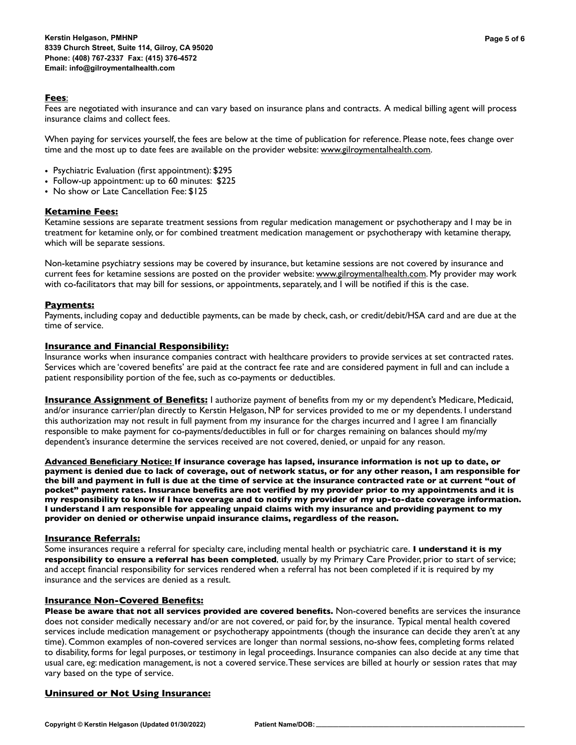#### **Fees**:

Fees are negotiated with insurance and can vary based on insurance plans and contracts. A medical billing agent will process insurance claims and collect fees.

When paying for services yourself, the fees are below at the time of publication for reference. Please note, fees change over time and the most up to date fees are available on the provider website: [www.gilroymentalhealth.com.](http://www.gilroymentalhealth.com)

- Psychiatric Evaluation (first appointment): \$295
- Follow-up appointment: up to 60 minutes: \$225
- No show or Late Cancellation Fee: \$125

#### **Ketamine Fees:**

Ketamine sessions are separate treatment sessions from regular medication management or psychotherapy and I may be in treatment for ketamine only, or for combined treatment medication management or psychotherapy with ketamine therapy, which will be separate sessions.

Non-ketamine psychiatry sessions may be covered by insurance, but ketamine sessions are not covered by insurance and current fees for ketamine sessions are posted on the provider website: [www.gilroymentalhealth.com.](http://www.gilroymentalhealth.com) My provider may work with co-facilitators that may bill for sessions, or appointments, separately, and I will be notified if this is the case.

#### **Payments:**

Payments, including copay and deductible payments, can be made by check, cash, or credit/debit/HSA card and are due at the time of service.

#### **Insurance and Financial Responsibility:**

Insurance works when insurance companies contract with healthcare providers to provide services at set contracted rates. Services which are 'covered benefits' are paid at the contract fee rate and are considered payment in full and can include a patient responsibility portion of the fee, such as co-payments or deductibles.

**Insurance Assignment of Benefits:** I authorize payment of benefits from my or my dependent's Medicare, Medicaid, and/or insurance carrier/plan directly to Kerstin Helgason, NP for services provided to me or my dependents. I understand this authorization may not result in full payment from my insurance for the charges incurred and I agree I am financially responsible to make payment for co-payments/deductibles in full or for charges remaining on balances should my/my dependent's insurance determine the services received are not covered, denied, or unpaid for any reason.

**Advanced Beneficiary Notice: If insurance coverage has lapsed, insurance information is not up to date, or payment is denied due to lack of coverage, out of network status, or for any other reason, I am responsible for the bill and payment in full is due at the time of service at the insurance contracted rate or at current "out of pocket" payment rates. Insurance benefits are not verified by my provider prior to my appointments and it is my responsibility to know if I have coverage and to notify my provider of my up-to-date coverage information. I understand I am responsible for appealing unpaid claims with my insurance and providing payment to my provider on denied or otherwise unpaid insurance claims, regardless of the reason.**

#### **Insurance Referrals:**

Some insurances require a referral for specialty care, including mental health or psychiatric care. **I understand it is my responsibility to ensure a referral has been completed**, usually by my Primary Care Provider, prior to start of service; and accept financial responsibility for services rendered when a referral has not been completed if it is required by my insurance and the services are denied as a result.

#### **Insurance Non-Covered Benefits:**

**Please be aware that not all services provided are covered benefits.** Non-covered benefits are services the insurance does not consider medically necessary and/or are not covered, or paid for, by the insurance. Typical mental health covered services include medication management or psychotherapy appointments (though the insurance can decide they aren't at any time). Common examples of non-covered services are longer than normal sessions, no-show fees, completing forms related to disability, forms for legal purposes, or testimony in legal proceedings. Insurance companies can also decide at any time that usual care, eg: medication management, is not a covered service. These services are billed at hourly or session rates that may vary based on the type of service.

### **Uninsured or Not Using Insurance:**